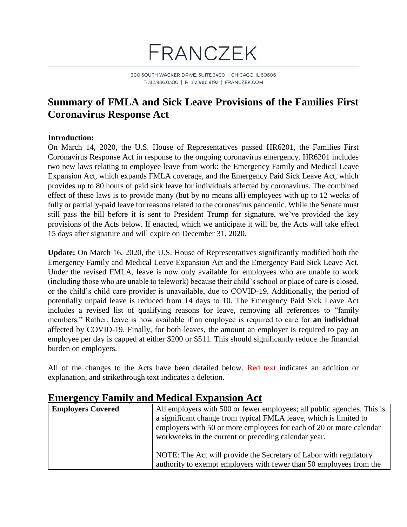

300 SOUTH WACKER DRIVE, SUITE 3400 | CHICAGO, IL 60606 T: 312.986.0300 | F: 312.986.9192 | FRANCZEK.COM

#### **Summary of FMLA and Sick Leave Provisions of the Families First Coronavirus Response Act**

#### **Introduction:**

On March 14, 2020, the U.S. House of Representatives passed HR6201, the Families First Coronavirus Response Act in response to the ongoing coronavirus emergency. HR6201 includes two new laws relating to employee leave from work: the Emergency Family and Medical Leave Expansion Act, which expands FMLA coverage, and the Emergency Paid Sick Leave Act, which provides up to 80 hours of paid sick leave for individuals affected by coronavirus. The combined effect of these laws is to provide many (but by no means all) employees with up to 12 weeks of fully or partially-paid leave for reasons related to the coronavirus pandemic. While the Senate must still pass the bill before it is sent to President Trump for signature, we've provided the key provisions of the Acts below. If enacted, which we anticipate it will be, the Acts will take effect 15 days after signature and will expire on December 31, 2020.

**Update:** On March 16, 2020, the U.S. House of Representatives significantly modified both the Emergency Family and Medical Leave Expansion Act and the Emergency Paid Sick Leave Act. Under the revised FMLA, leave is now only available for employees who are unable to work (including those who are unable to telework) because their child's school or place of care is closed, or the child's child care provider is unavailable, due to COVID-19. Additionally, the period of potentially unpaid leave is reduced from 14 days to 10. The Emergency Paid Sick Leave Act includes a revised list of qualifying reasons for leave, removing all references to "family members." Rather, leave is now available if an employee is required to care for **an individual** affected by COVID-19. Finally, for both leaves, the amount an employer is required to pay an employee per day is capped at either \$200 or \$511. This should significantly reduce the financial burden on employers.

All of the changes to the Acts have been detailed below. Red text indicates an addition or explanation, and strikethrough text indicates a deletion.

|                          | енкі дене і анні у ана вісаюці Еврапяон Іте                             |
|--------------------------|-------------------------------------------------------------------------|
| <b>Employers Covered</b> | All employers with 500 or fewer employees; all public agencies. This is |
|                          | a significant change from typical FMLA leave, which is limited to       |
|                          | employers with 50 or more employees for each of 20 or more calendar     |
|                          | workweeks in the current or preceding calendar year.                    |
|                          |                                                                         |
|                          | NOTE: The Act will provide the Secretary of Labor with regulatory       |
|                          | authority to exempt employers with fewer than 50 employees from the     |

#### **Emergency Family and Medical Expansion Act**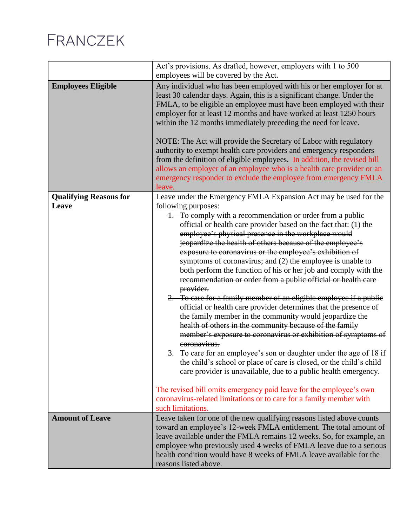|                                        | Act's provisions. As drafted, however, employers with 1 to 500<br>employees will be covered by the Act.                                                                                                                                                                                                                                                                                                                                                                                                                                                                                                                                                                                                                                                                                                                                                                                                                                                                                                                                                                                         |
|----------------------------------------|-------------------------------------------------------------------------------------------------------------------------------------------------------------------------------------------------------------------------------------------------------------------------------------------------------------------------------------------------------------------------------------------------------------------------------------------------------------------------------------------------------------------------------------------------------------------------------------------------------------------------------------------------------------------------------------------------------------------------------------------------------------------------------------------------------------------------------------------------------------------------------------------------------------------------------------------------------------------------------------------------------------------------------------------------------------------------------------------------|
| <b>Employees Eligible</b>              | Any individual who has been employed with his or her employer for at<br>least 30 calendar days. Again, this is a significant change. Under the<br>FMLA, to be eligible an employee must have been employed with their<br>employer for at least 12 months and have worked at least 1250 hours<br>within the 12 months immediately preceding the need for leave.                                                                                                                                                                                                                                                                                                                                                                                                                                                                                                                                                                                                                                                                                                                                  |
|                                        | NOTE: The Act will provide the Secretary of Labor with regulatory<br>authority to exempt health care providers and emergency responders                                                                                                                                                                                                                                                                                                                                                                                                                                                                                                                                                                                                                                                                                                                                                                                                                                                                                                                                                         |
|                                        | from the definition of eligible employees. In addition, the revised bill<br>allows an employer of an employee who is a health care provider or an                                                                                                                                                                                                                                                                                                                                                                                                                                                                                                                                                                                                                                                                                                                                                                                                                                                                                                                                               |
|                                        | emergency responder to exclude the employee from emergency FMLA                                                                                                                                                                                                                                                                                                                                                                                                                                                                                                                                                                                                                                                                                                                                                                                                                                                                                                                                                                                                                                 |
|                                        | leave.                                                                                                                                                                                                                                                                                                                                                                                                                                                                                                                                                                                                                                                                                                                                                                                                                                                                                                                                                                                                                                                                                          |
| <b>Qualifying Reasons for</b><br>Leave | Leave under the Emergency FMLA Expansion Act may be used for the<br>following purposes:                                                                                                                                                                                                                                                                                                                                                                                                                                                                                                                                                                                                                                                                                                                                                                                                                                                                                                                                                                                                         |
|                                        | 1. To comply with a recommendation or order from a public<br>official or health care provider based on the fact that: (1) the<br>employee's physical presence in the workplace would<br>jeopardize the health of others because of the employee's<br>exposure to coronavirus or the employee's exhibition of<br>symptoms of coronavirus; and $(2)$ the employee is unable to<br>both perform the function of his or her job and comply with the<br>recommendation or order from a public official or health care<br>provider.<br>2. To care for a family member of an eligible employee if a public<br>official or health care provider determines that the presence of<br>the family member in the community would jeopardize the<br>health of others in the community because of the family<br>member's exposure to coronavirus or exhibition of symptoms of<br>coronavirus.<br>3. To care for an employee's son or daughter under the age of 18 if<br>the child's school or place of care is closed, or the child's child<br>care provider is unavailable, due to a public health emergency. |
|                                        | The revised bill omits emergency paid leave for the employee's own                                                                                                                                                                                                                                                                                                                                                                                                                                                                                                                                                                                                                                                                                                                                                                                                                                                                                                                                                                                                                              |
|                                        | coronavirus-related limitations or to care for a family member with<br>such limitations.                                                                                                                                                                                                                                                                                                                                                                                                                                                                                                                                                                                                                                                                                                                                                                                                                                                                                                                                                                                                        |
| <b>Amount of Leave</b>                 | Leave taken for one of the new qualifying reasons listed above counts<br>toward an employee's 12-week FMLA entitlement. The total amount of<br>leave available under the FMLA remains 12 weeks. So, for example, an<br>employee who previously used 4 weeks of FMLA leave due to a serious<br>health condition would have 8 weeks of FMLA leave available for the<br>reasons listed above.                                                                                                                                                                                                                                                                                                                                                                                                                                                                                                                                                                                                                                                                                                      |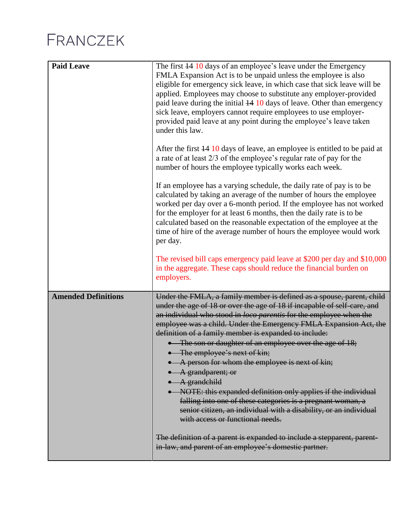| <b>Paid Leave</b>          | The first 44 10 days of an employee's leave under the Emergency<br>FMLA Expansion Act is to be unpaid unless the employee is also<br>eligible for emergency sick leave, in which case that sick leave will be<br>applied. Employees may choose to substitute any employer-provided<br>paid leave during the initial $\frac{14}{10}$ days of leave. Other than emergency<br>sick leave, employers cannot require employees to use employer-<br>provided paid leave at any point during the employee's leave taken<br>under this law.<br>After the first 14 10 days of leave, an employee is entitled to be paid at<br>a rate of at least $2/3$ of the employee's regular rate of pay for the                                                                                                                                                                                   |
|----------------------------|-------------------------------------------------------------------------------------------------------------------------------------------------------------------------------------------------------------------------------------------------------------------------------------------------------------------------------------------------------------------------------------------------------------------------------------------------------------------------------------------------------------------------------------------------------------------------------------------------------------------------------------------------------------------------------------------------------------------------------------------------------------------------------------------------------------------------------------------------------------------------------|
|                            | number of hours the employee typically works each week.<br>If an employee has a varying schedule, the daily rate of pay is to be<br>calculated by taking an average of the number of hours the employee<br>worked per day over a 6-month period. If the employee has not worked<br>for the employer for at least 6 months, then the daily rate is to be<br>calculated based on the reasonable expectation of the employee at the<br>time of hire of the average number of hours the employee would work<br>per day.                                                                                                                                                                                                                                                                                                                                                           |
|                            | The revised bill caps emergency paid leave at \$200 per day and \$10,000<br>in the aggregate. These caps should reduce the financial burden on<br>employers.                                                                                                                                                                                                                                                                                                                                                                                                                                                                                                                                                                                                                                                                                                                  |
| <b>Amended Definitions</b> | Under the FMLA, a family member is defined as a spouse, parent, child<br>under the age of 18 or over the age of 18 if incapable of self-care, and<br>an individual who stood in loco parentis for the employee when the<br>employee was a child. Under the Emergency FMLA Expansion Act, the<br>definition of a family member is expanded to include:<br>• The son or daughter of an employee over the age of 18;<br>• The employee's next of kin;<br>• A person for whom the employee is next of kin;<br>• A grandparent; or<br>$\bullet$ A grandchild<br>• NOTE: this expanded definition only applies if the individual<br>falling into one of these categories is a pregnant woman, a<br>senior citizen, an individual with a disability, or an individual<br>with access or functional needs.<br>The definition of a parent is expanded to include a stepparent, parent- |
|                            | in-law, and parent of an employee's domestic partner.                                                                                                                                                                                                                                                                                                                                                                                                                                                                                                                                                                                                                                                                                                                                                                                                                         |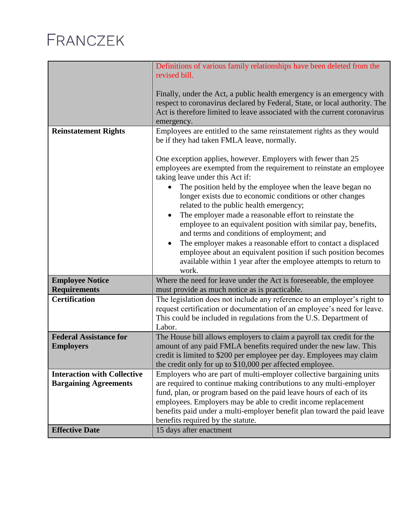|                                                   | Definitions of various family relationships have been deleted from the<br>revised bill.                                                                                                                                                                                                                                                                                                                                                                                                                                                                                                                                                                                                                                                                           |
|---------------------------------------------------|-------------------------------------------------------------------------------------------------------------------------------------------------------------------------------------------------------------------------------------------------------------------------------------------------------------------------------------------------------------------------------------------------------------------------------------------------------------------------------------------------------------------------------------------------------------------------------------------------------------------------------------------------------------------------------------------------------------------------------------------------------------------|
|                                                   | Finally, under the Act, a public health emergency is an emergency with<br>respect to coronavirus declared by Federal, State, or local authority. The<br>Act is therefore limited to leave associated with the current coronavirus<br>emergency.                                                                                                                                                                                                                                                                                                                                                                                                                                                                                                                   |
| <b>Reinstatement Rights</b>                       | Employees are entitled to the same reinstatement rights as they would<br>be if they had taken FMLA leave, normally.                                                                                                                                                                                                                                                                                                                                                                                                                                                                                                                                                                                                                                               |
|                                                   | One exception applies, however. Employers with fewer than 25<br>employees are exempted from the requirement to reinstate an employee<br>taking leave under this Act if:<br>The position held by the employee when the leave began no<br>longer exists due to economic conditions or other changes<br>related to the public health emergency;<br>The employer made a reasonable effort to reinstate the<br>$\bullet$<br>employee to an equivalent position with similar pay, benefits,<br>and terms and conditions of employment; and<br>The employer makes a reasonable effort to contact a displaced<br>$\bullet$<br>employee about an equivalent position if such position becomes<br>available within 1 year after the employee attempts to return to<br>work. |
| <b>Employee Notice</b><br><b>Requirements</b>     | Where the need for leave under the Act is foreseeable, the employee<br>must provide as much notice as is practicable.                                                                                                                                                                                                                                                                                                                                                                                                                                                                                                                                                                                                                                             |
| <b>Certification</b>                              | The legislation does not include any reference to an employer's right to<br>request certification or documentation of an employee's need for leave.<br>This could be included in regulations from the U.S. Department of<br>Labor.                                                                                                                                                                                                                                                                                                                                                                                                                                                                                                                                |
| <b>Federal Assistance for</b><br><b>Employers</b> | The House bill allows employers to claim a payroll tax credit for the<br>amount of any paid FMLA benefits required under the new law. This<br>credit is limited to \$200 per employee per day. Employees may claim<br>the credit only for up to \$10,000 per affected employee.                                                                                                                                                                                                                                                                                                                                                                                                                                                                                   |
| <b>Interaction with Collective</b>                | Employers who are part of multi-employer collective bargaining units                                                                                                                                                                                                                                                                                                                                                                                                                                                                                                                                                                                                                                                                                              |
| <b>Bargaining Agreements</b>                      | are required to continue making contributions to any multi-employer<br>fund, plan, or program based on the paid leave hours of each of its                                                                                                                                                                                                                                                                                                                                                                                                                                                                                                                                                                                                                        |
|                                                   | employees. Employers may be able to credit income replacement                                                                                                                                                                                                                                                                                                                                                                                                                                                                                                                                                                                                                                                                                                     |
|                                                   | benefits paid under a multi-employer benefit plan toward the paid leave<br>benefits required by the statute.                                                                                                                                                                                                                                                                                                                                                                                                                                                                                                                                                                                                                                                      |
| <b>Effective Date</b>                             | 15 days after enactment                                                                                                                                                                                                                                                                                                                                                                                                                                                                                                                                                                                                                                                                                                                                           |
|                                                   |                                                                                                                                                                                                                                                                                                                                                                                                                                                                                                                                                                                                                                                                                                                                                                   |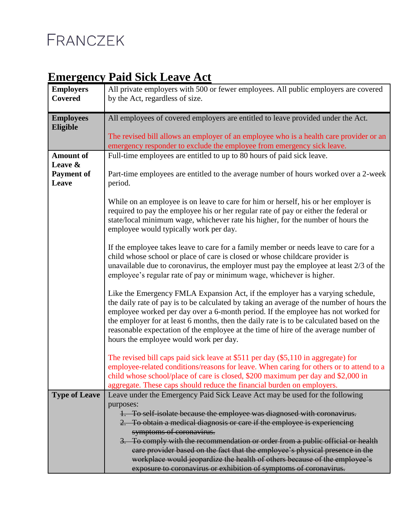#### **Emergency Paid Sick Leave Act**

| <b>Employers</b>     | All private employers with 500 or fewer employees. All public employers are covered                                                                                         |
|----------------------|-----------------------------------------------------------------------------------------------------------------------------------------------------------------------------|
| <b>Covered</b>       | by the Act, regardless of size.                                                                                                                                             |
|                      |                                                                                                                                                                             |
| <b>Employees</b>     | All employees of covered employers are entitled to leave provided under the Act.                                                                                            |
| Eligible             | The revised bill allows an employer of an employee who is a health care provider or an                                                                                      |
|                      | emergency responder to exclude the employee from emergency sick leave.                                                                                                      |
| <b>Amount of</b>     | Full-time employees are entitled to up to 80 hours of paid sick leave.                                                                                                      |
| Leave &              |                                                                                                                                                                             |
| <b>Payment of</b>    | Part-time employees are entitled to the average number of hours worked over a 2-week                                                                                        |
| Leave                | period.                                                                                                                                                                     |
|                      |                                                                                                                                                                             |
|                      | While on an employee is on leave to care for him or herself, his or her employer is                                                                                         |
|                      | required to pay the employee his or her regular rate of pay or either the federal or                                                                                        |
|                      | state/local minimum wage, whichever rate his higher, for the number of hours the<br>employee would typically work per day.                                                  |
|                      |                                                                                                                                                                             |
|                      | If the employee takes leave to care for a family member or needs leave to care for a                                                                                        |
|                      | child whose school or place of care is closed or whose childcare provider is                                                                                                |
|                      | unavailable due to coronavirus, the employer must pay the employee at least $2/3$ of the                                                                                    |
|                      | employee's regular rate of pay or minimum wage, whichever is higher.                                                                                                        |
|                      |                                                                                                                                                                             |
|                      | Like the Emergency FMLA Expansion Act, if the employer has a varying schedule,<br>the daily rate of pay is to be calculated by taking an average of the number of hours the |
|                      | employee worked per day over a 6-month period. If the employee has not worked for                                                                                           |
|                      | the employer for at least 6 months, then the daily rate is to be calculated based on the                                                                                    |
|                      | reasonable expectation of the employee at the time of hire of the average number of                                                                                         |
|                      | hours the employee would work per day.                                                                                                                                      |
|                      |                                                                                                                                                                             |
|                      | The revised bill caps paid sick leave at \$511 per day (\$5,110 in aggregate) for                                                                                           |
|                      | employee-related conditions/reasons for leave. When caring for others or to attend to a                                                                                     |
|                      | child whose school/place of care is closed, \$200 maximum per day and \$2,000 in<br>aggregate. These caps should reduce the financial burden on employers.                  |
| <b>Type of Leave</b> | Leave under the Emergency Paid Sick Leave Act may be used for the following                                                                                                 |
|                      | purposes:                                                                                                                                                                   |
|                      | 1. To self isolate because the employee was diagnosed with coronavirus.                                                                                                     |
|                      | 2. To obtain a medical diagnosis or care if the employee is experiencing                                                                                                    |
|                      | symptoms of coronavirus.                                                                                                                                                    |
|                      | 3. To comply with the recommendation or order from a public official or health                                                                                              |
|                      | care provider based on the fact that the employee's physical presence in the                                                                                                |
|                      | workplace would jeopardize the health of others because of the employee's                                                                                                   |
|                      | exposure to coronavirus or exhibition of symptoms of coronavirus.                                                                                                           |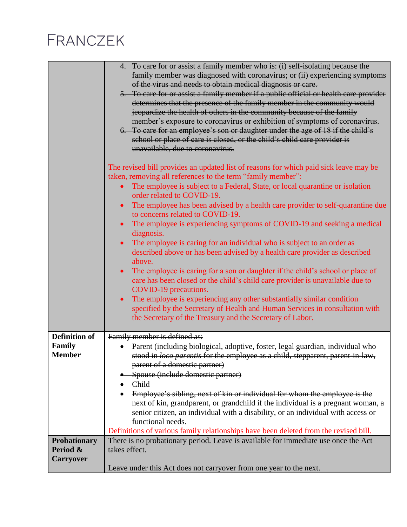|                                                     | 4. To care for or assist a family member who is: (i) self-isolating because the<br>family member was diagnosed with coronavirus; or (ii) experiencing symptoms<br>of the virus and needs to obtain medical diagnosis or care.<br>5. To care for or assist a family member if a public official or health care provider<br>determines that the presence of the family member in the community would<br>jeopardize the health of others in the community because of the family<br>member's exposure to coronavirus or exhibition of symptoms of coronavirus.<br>6. To care for an employee's son or daughter under the age of 18 if the child's<br>school or place of care is closed, or the child's child care provider is<br>unavailable, due to coronavirus.      |
|-----------------------------------------------------|--------------------------------------------------------------------------------------------------------------------------------------------------------------------------------------------------------------------------------------------------------------------------------------------------------------------------------------------------------------------------------------------------------------------------------------------------------------------------------------------------------------------------------------------------------------------------------------------------------------------------------------------------------------------------------------------------------------------------------------------------------------------|
|                                                     | The revised bill provides an updated list of reasons for which paid sick leave may be<br>taken, removing all references to the term "family member":<br>The employee is subject to a Federal, State, or local quarantine or isolation<br>$\bullet$<br>order related to COVID-19.<br>The employee has been advised by a health care provider to self-quarantine due<br>$\bullet$                                                                                                                                                                                                                                                                                                                                                                                    |
|                                                     | to concerns related to COVID-19.<br>The employee is experiencing symptoms of COVID-19 and seeking a medical<br>$\bullet$<br>diagnosis.<br>The employee is caring for an individual who is subject to an order as<br>$\bullet$<br>described above or has been advised by a health care provider as described<br>above.<br>The employee is caring for a son or daughter if the child's school or place of<br>$\bullet$<br>care has been closed or the child's child care provider is unavailable due to<br>COVID-19 precautions.<br>The employee is experiencing any other substantially similar condition<br>$\bullet$<br>specified by the Secretary of Health and Human Services in consultation with<br>the Secretary of the Treasury and the Secretary of Labor. |
| <b>Definition of</b><br>Family<br><b>Member</b>     | Family member is defined as:<br>· Parent (including biological, adoptive, foster, legal guardian, individual who<br>stood in loco parentis for the employee as a child, stepparent, parent in law,<br>parent of a domestic partner)<br>Spouse (include domestic partner)<br><del>- Child</del><br>Employee's sibling, next of kin or individual for whom the employee is the<br>next of kin, grandparent, or grandchild if the individual is a pregnant woman, a<br>senior citizen, an individual with a disability, or an individual with access or<br>functional needs.<br>Definitions of various family relationships have been deleted from the revised bill.                                                                                                  |
| <b>Probationary</b><br>Period &<br><b>Carryover</b> | There is no probationary period. Leave is available for immediate use once the Act<br>takes effect.<br>Leave under this Act does not carryover from one year to the next.                                                                                                                                                                                                                                                                                                                                                                                                                                                                                                                                                                                          |